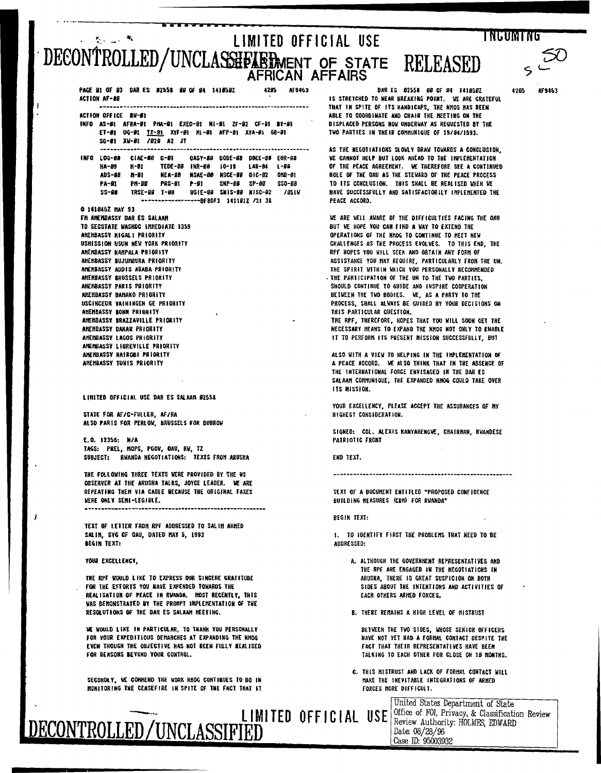## **INGUMTNG** LIMITED OFFICIAL USE  $K_{\rm{max}}$   $R$ DECONTROLLED/UNCLASSHEABLMENT OF STATE **RELEASED** AFRICAN AFFAIRS

PAGE B1 OF 03 DAR ES \$255# \$9 OF 84 141 \$597 4285 AF9463 ACTION AF-88 ACTION OFFICE RM-61 INFO AS-BI AFRA-01 PINA-91 EXED-01 NI-91 ZF-92 CF-81 BY-91 ET-01 UG-91 17-81 XYF-91 ML-91 AFP-81 XYA-91 GB-91 SG-81 XV-81 /828 A2 JT INFO LOG-68 CIAE-88 C-81 0ASY-88 DODE-89 DOEE-88 EUR-68 H-81 TEDE-88 INR-88 IO-19 LAB-84 L-89 **HA-09** ADS-88 H-91 NEA-98 NSAE-80 NSCE-89 010-82 0HB-81 PRS-01 P-91 **PA-91** PH-99 SNP-00 SP-00 SSO-00 USIE-88 SNIS-88 NISC-82 /851W TRSE-00 T-00  $S S - SP$ ------------------BF8DF3 141181Z /21 38 0 141846Z MAY 93 FII AMEMBASSY BAR ES SALAAM TO SECSTATE WASHOC IMMEDIATE 1359 ANEHBASSY NIGAL1 PRIORITY USHISSION USUN NEW YORK PRIORITY AMEMBASSY HAMPALA PRIORITY AMÉMBASSY BILIUMRURA PRIORITY AMEMBASSY ADDIS ABABA PRIORITY AMEMBASSY BRUSSELS PRIORITY AHEMBASSY PARIS PRIORITY AHENBASSY BAHAKO PRIORITY USCINCEUR VAININGEN GE PRIORITY AMEMBASSY BONN PRIORITY AHEHBASSY BRAZZAVILLE PRIORITY AMENBASSY DAKAR PRIORITY AMEMBASSY LAGOS PRIORITY ANENBASSY LIBREVILLE PRIORITY AHENBASSY NATRORI PRIORITY AMEMBASSY TUNIS PRIORITY

LIMITED OFFICIAL USE DAR ES SALAAN #2558

STATE FOR AF/C-FULLER, AF/RA ALSO PARIS FOR PERLOW, BRUSSELS FOR DUBROW

E.O. 12356: N/A TAGS: PREL, MOPS, PGOV, OAU, RW, YZ SUBJECT: RWANDA NEGOTIATIONS: TEXTS FROM ARUSHA

THE FOLLOWING THREE TEXTS WERE PROVIDED BY THE US OBSERVER AT THE ARUSHA TALKS, JOYCE LEADER. WE ARE REPEATING THEM VIA CABLE BECAUSE THE ORIGINAL FAXES WERE ONLY SEMI-LEGIBLE.

TEXT OF LETTER FROM RPF ADDRESSED TO SALIM AHMED SALIN, SYG OF OAU, DATED MAY 5, 1993

YOUR EXCELLENCY.

BEGIN TEXT:

 $\overline{1}$ 

THE RPF WOULD LIKE TO EXPRESS OUR SINCERE GRATITUDE FOR THE EFFORTS YOU HAVE EXPENDED TOWARDS THE REALISATION OF PEACE IN RUANDA. MOST RECENTLY, THIS WAS DEMONSTRATED BY THE PROMPT INPLEMENTATION OF THE RESOLUTIONS OF THE DAR ES SALANN HEETING.

WE WOULD LIKE IN PARTICULAR, TO THANK YOU PERSONALLY FOR YOUR EXPEDITIOUS DEMARCHES AT EXPANDING THE RHOG EVEN THOUGH THE OBJECTIVE HAS NOT BEEN FULLY REALISED FOR REASONS BEYOND YOUR CONTROL.

SECONDLY, WE CONHEND THE WORK NHOG CONTINUES TO BO IN MONITORING THE CEASEFIRE IN SPITE OF THE FACT THAT IT

ECONTROLLED/UNCLASSIFIED

DAR ES 82558 HA OF HA 1410507 IS STRETCHED TO NEAR BREAKING POINT. WE ARE GRATEFUL THAT IN SPITE OF ITS HANDICAPS, THE NHOG HAS BEEN ARLE TO COORDINATE AND CHAIR THE MEETING ON THE DISPLACED PERSONS NOW UNDERWAY AS REQUESTED BY THE TWO PARTIES IN THEIR COMMUNIQUE OF 19/86/1993.

AS THE NEGOTIATIONS SLOWLY DRAW TOWARDS A CONCLUSION, WE CANNOT HELP BUT LOOK AHEAD TO THE INPLEMENTATION OF THE PEACE AGREEMENT. WE THEREFORE SEE A CONTINUED ROLE OF THE OAU AS THE STEWARD OF THE PEACE PROCESS TO ITS CONCLUSION. THIS SHALL BE REALISED WHEN WE HAVE SUCCESSFULLY AND SATISFACTORILY INPLEMENTED THE PEACE ACCORD.

WE ARE WELL AWARE OF THE DIFFICULTIES FACING THE OAU BUT WE HOPE YOU CAN FIND A WAY TO EXTEND THE OPERATIONS OF THE NHOG TO CONTINUE TO HEET NEW CHALLENGES AS THE PROCESS EVOLVES. TO THIS END, THE RPF HOPES YOU WILL SEEK AND OBTAIN ANY FORM OF ASSISTANCE YOU HAY REQUIRE, PARTICULARLY FRON THE UN. THE SPIRIT WITHIN WHICH YOU PERSONALLY RECOMMENDED - THE PARTICIPATION OF THE UN TO THE TWO PARTIES. SHOULD CONTINUE TO GUIDE AND INSPIRE COOPERATION BETWEEN THE TWO BODIES. WE, AS A PARTY TO THE PROCESS, SHALL ALWAYS BE GUIDED BY YOUR DECISIONS ON THIS PARTICULAR QUESTION. THE RPF, THEREFORE, HOPES THAT YOU WILL SOON GET THE

NECESSARY MEANS TO EXPAND THE NHOG NOT ONLY TO ENABLE 11 TO PERFORM ITS PRESENT NISSION SUCCESSFULLY, BUT

ALSO NITH A VIEW TO HELPING IN THE IMPLEMENTATION OF A PEACE ACCORD. WE ALSO THINK THAT IN THE ABSENCE OF THE INTERNATIONAL FORCE ENVISAGED IN THE DAR ES SALAAM COMRUNIQUE, THE EXPANDED NHOG COULD TAKE OVER **ITS MISSION.** 

YOUR EXCELLENCY, PLEASE ACCEPT THE ASSURANCES OF MY HIGHEST CONSIDERATION.

SIGNED: COL. ALEXIS NANYARENGWE, CHAIRMAN, RWANDESE PATRIOTIC FRONT

END TEXT.

TEXT OF A DOCUMENT ENTITLED "PROPOSED CONFIDENCE BUILDING HEASURES (CBH) FOR RWANDA"

REGIN TEXT-

1. TO IDENTIFY FIRST THE PROBLEMS THAT NEED TO BE AODRÉSSED:

- A. ALTHOUGH THE GOVERNMENT REPRESENTATIVES AND THE RPF ARE ENGAGED IN THE NEGOTIATIONS IN ARUSHA, THERE IS GREAT SUSPICION ON BOTH SIDES ABOUT THE INTENTIONS AND ACTIVITIES OF EACH OTHERS ARMED FORCES.
- B. THERE REMAINS A HIGH LEVEL OF MISTRUST

BETWEEN THE TWO SIDES, WHOSE SENIOR OFFICERS HAVE NOT YET HAD A FORMAL CONTACT DESPITE THE FACT THAT THEIR REPRESENTATIVES HAVE BEEN TALKING TO EACH OTHER FOR CLOSE ON 19 MONTHS.

C. THIS MISTRUST AND LACK OF FORMAL CONTACT MILL HARE THE INEVITABLE INTEGRATIONS OF ARMED FORCES HORE DIFFICULT.

United States Department of State **LIMITED OFFICIAL USE** Office of FOI, Privacy, & Classification Review Date: 08/28/96 Case ID: 95003932

**AFS163** 

47AS